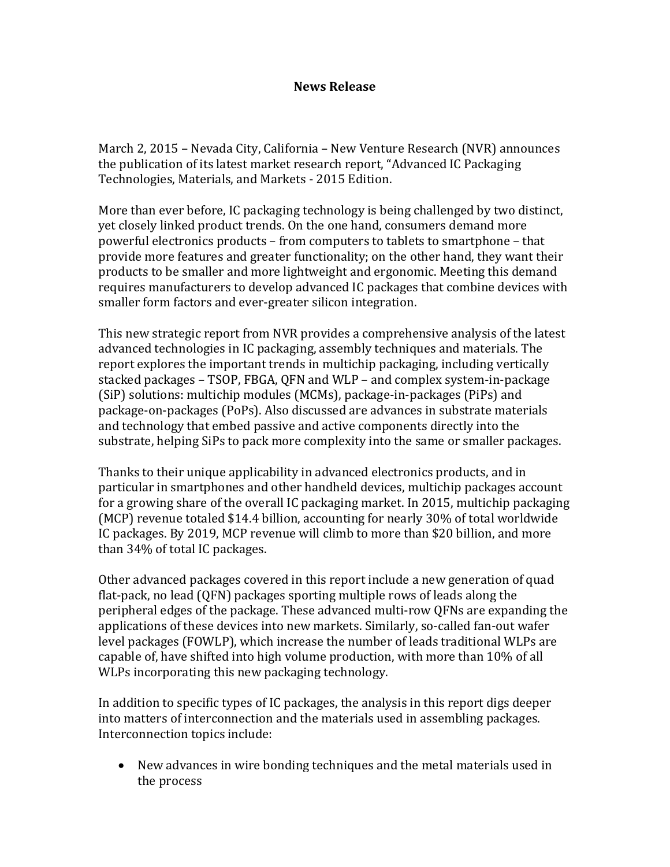## **News Release**

March 2, 2015 – Nevada City, California – New Venture Research (NVR) announces the publication of its latest market research report, "Advanced IC Packaging Technologies, Materials, and Markets - 2015 Edition.

More than ever before, IC packaging technology is being challenged by two distinct, yet closely linked product trends. On the one hand, consumers demand more powerful electronics products – from computers to tablets to smartphone – that provide more features and greater functionality; on the other hand, they want their products to be smaller and more lightweight and ergonomic. Meeting this demand requires manufacturers to develop advanced IC packages that combine devices with smaller form factors and ever-greater silicon integration.

This new strategic report from NVR provides a comprehensive analysis of the latest advanced technologies in IC packaging, assembly techniques and materials. The report explores the important trends in multichip packaging, including vertically stacked packages – TSOP, FBGA, QFN and WLP – and complex system-in-package (SiP) solutions: multichip modules (MCMs), package-in-packages (PiPs) and package-on-packages (PoPs). Also discussed are advances in substrate materials and technology that embed passive and active components directly into the substrate, helping SiPs to pack more complexity into the same or smaller packages.

Thanks to their unique applicability in advanced electronics products, and in particular in smartphones and other handheld devices, multichip packages account for a growing share of the overall IC packaging market. In 2015, multichip packaging (MCP) revenue totaled \$14.4 billion, accounting for nearly 30% of total worldwide IC packages. By 2019, MCP revenue will climb to more than \$20 billion, and more than 34% of total IC packages.

Other advanced packages covered in this report include a new generation of quad flat-pack, no lead (QFN) packages sporting multiple rows of leads along the peripheral edges of the package. These advanced multi-row QFNs are expanding the applications of these devices into new markets. Similarly, so-called fan-out wafer level packages (FOWLP), which increase the number of leads traditional WLPs are capable of, have shifted into high volume production, with more than 10% of all WLPs incorporating this new packaging technology.

In addition to specific types of IC packages, the analysis in this report digs deeper into matters of interconnection and the materials used in assembling packages. Interconnection topics include:

• New advances in wire bonding techniques and the metal materials used in the process